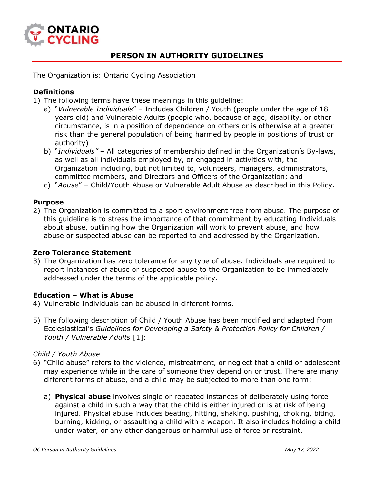

# **PERSON IN AUTHORITY GUIDELINES**

The Organization is: Ontario Cycling Association

### **Definitions**

- 1) The following terms have these meanings in this guideline:
	- a) "*Vulnerable Individuals*" Includes Children / Youth (people under the age of 18 years old) and Vulnerable Adults (people who, because of age, disability, or other circumstance, is in a position of dependence on others or is otherwise at a greater risk than the general population of being harmed by people in positions of trust or authority)
	- b) "*Individuals"* All categories of membership defined in the Organization's By-laws, as well as all individuals employed by, or engaged in activities with, the Organization including, but not limited to, volunteers, managers, administrators, committee members, and Directors and Officers of the Organization; and
	- c) "*Abuse*" Child/Youth Abuse or Vulnerable Adult Abuse as described in this Policy.

#### **Purpose**

2) The Organization is committed to a sport environment free from abuse. The purpose of this guideline is to stress the importance of that commitment by educating Individuals about abuse, outlining how the Organization will work to prevent abuse, and how abuse or suspected abuse can be reported to and addressed by the Organization.

### **Zero Tolerance Statement**

3) The Organization has zero tolerance for any type of abuse. Individuals are required to report instances of abuse or suspected abuse to the Organization to be immediately addressed under the terms of the applicable policy.

### **Education – What is Abuse**

- 4) Vulnerable Individuals can be abused in different forms.
- 5) The following description of Child / Youth Abuse has been modified and adapted from Ecclesiastical's *Guidelines for Developing a Safety & Protection Policy for Children / Youth / Vulnerable Adults* [1]:

### *Child / Youth Abuse*

- 6) "Child abuse" refers to the violence, mistreatment, or neglect that a child or adolescent may experience while in the care of someone they depend on or trust. There are many different forms of abuse, and a child may be subjected to more than one form:
	- a) **Physical abuse** involves single or repeated instances of deliberately using force against a child in such a way that the child is either injured or is at risk of being injured. Physical abuse includes beating, hitting, shaking, pushing, choking, biting, burning, kicking, or assaulting a child with a weapon. It also includes holding a child under water, or any other dangerous or harmful use of force or restraint.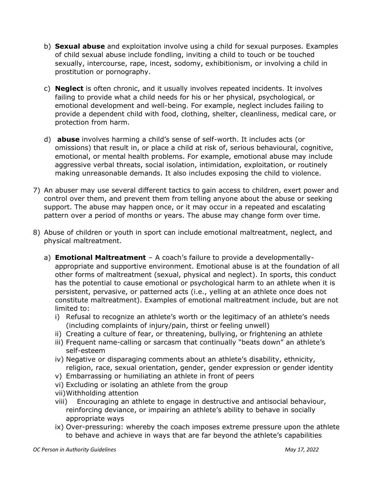- b) **Sexual abuse** and exploitation involve using a child for sexual purposes. Examples of child sexual abuse include fondling, inviting a child to touch or be touched sexually, intercourse, rape, incest, sodomy, exhibitionism, or involving a child in prostitution or pornography.
- c) **Neglect** is often chronic, and it usually involves repeated incidents. It involves failing to provide what a child needs for his or her physical, psychological, or emotional development and well-being. For example, neglect includes failing to provide a dependent child with food, clothing, shelter, cleanliness, medical care, or protection from harm.
- d) **abuse** involves harming a child's sense of self-worth. It includes acts (or omissions) that result in, or place a child at risk of, serious behavioural, cognitive, emotional, or mental health problems. For example, emotional abuse may include aggressive verbal threats, social isolation, intimidation, exploitation, or routinely making unreasonable demands. It also includes exposing the child to violence.
- 7) An abuser may use several different tactics to gain access to children, exert power and control over them, and prevent them from telling anyone about the abuse or seeking support. The abuse may happen once, or it may occur in a repeated and escalating pattern over a period of months or years. The abuse may change form over time.
- 8) Abuse of children or youth in sport can include emotional maltreatment, neglect, and physical maltreatment.
	- a) **Emotional Maltreatment** A coach's failure to provide a developmentallyappropriate and supportive environment. Emotional abuse is at the foundation of all other forms of maltreatment (sexual, physical and neglect). In sports, this conduct has the potential to cause emotional or psychological harm to an athlete when it is persistent, pervasive, or patterned acts (i.e., yelling at an athlete once does not constitute maltreatment). Examples of emotional maltreatment include, but are not limited to:
		- i) Refusal to recognize an athlete's worth or the legitimacy of an athlete's needs (including complaints of injury/pain, thirst or feeling unwell)
		- ii) Creating a culture of fear, or threatening, bullying, or frightening an athlete
		- iii) Frequent name-calling or sarcasm that continually "beats down" an athlete's self-esteem
		- iv) Negative or disparaging comments about an athlete's disability, ethnicity, religion, race, sexual orientation, gender, gender expression or gender identity
		- v) Embarrassing or humiliating an athlete in front of peers
		- vi) Excluding or isolating an athlete from the group
		- vii)Withholding attention
		- viii) Encouraging an athlete to engage in destructive and antisocial behaviour, reinforcing deviance, or impairing an athlete's ability to behave in socially appropriate ways
		- ix) Over-pressuring: whereby the coach imposes extreme pressure upon the athlete to behave and achieve in ways that are far beyond the athlete's capabilities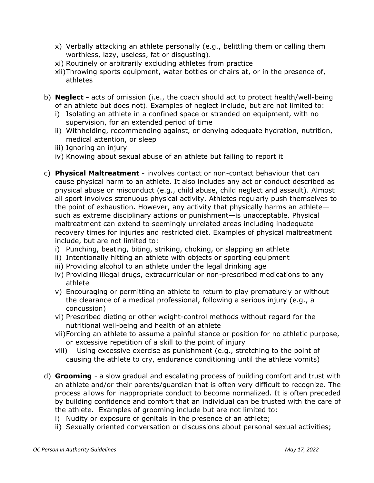- x) Verbally attacking an athlete personally (e.g., belittling them or calling them worthless, lazy, useless, fat or disgusting).
- xi) Routinely or arbitrarily excluding athletes from practice
- xii)Throwing sports equipment, water bottles or chairs at, or in the presence of, athletes
- b) **Neglect -** acts of omission (i.e., the coach should act to protect health/well-being of an athlete but does not). Examples of neglect include, but are not limited to:
	- i) Isolating an athlete in a confined space or stranded on equipment, with no supervision, for an extended period of time
	- ii) Withholding, recommending against, or denying adequate hydration, nutrition, medical attention, or sleep
	- iii) Ignoring an injury
	- iv) Knowing about sexual abuse of an athlete but failing to report it
- c) **Physical Maltreatment** involves contact or non-contact behaviour that can cause physical harm to an athlete. It also includes any act or conduct described as physical abuse or misconduct (e.g., child abuse, child neglect and assault). Almost all sport involves strenuous physical activity. Athletes regularly push themselves to the point of exhaustion. However, any activity that physically harms an athlete such as extreme disciplinary actions or punishment—is unacceptable. Physical maltreatment can extend to seemingly unrelated areas including inadequate recovery times for injuries and restricted diet. Examples of physical maltreatment include, but are not limited to:
	- i) Punching, beating, biting, striking, choking, or slapping an athlete
	- ii) Intentionally hitting an athlete with objects or sporting equipment
	- iii) Providing alcohol to an athlete under the legal drinking age
	- iv) Providing illegal drugs, extracurricular or non-prescribed medications to any athlete
	- v) Encouraging or permitting an athlete to return to play prematurely or without the clearance of a medical professional, following a serious injury (e.g., a concussion)
	- vi) Prescribed dieting or other weight-control methods without regard for the nutritional well-being and health of an athlete
	- vii)Forcing an athlete to assume a painful stance or position for no athletic purpose, or excessive repetition of a skill to the point of injury
	- viii) Using excessive exercise as punishment (e.g., stretching to the point of causing the athlete to cry, endurance conditioning until the athlete vomits)
- d) **Grooming** a slow gradual and escalating process of building comfort and trust with an athlete and/or their parents/guardian that is often very difficult to recognize. The process allows for inappropriate conduct to become normalized. It is often preceded by building confidence and comfort that an individual can be trusted with the care of the athlete. Examples of grooming include but are not limited to:
	- i) Nudity or exposure of genitals in the presence of an athlete;
	- ii) Sexually oriented conversation or discussions about personal sexual activities;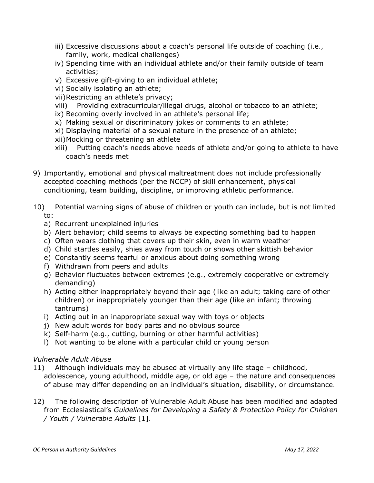- iii) Excessive discussions about a coach's personal life outside of coaching (i.e., family, work, medical challenges)
- iv) Spending time with an individual athlete and/or their family outside of team activities;
- v) Excessive gift-giving to an individual athlete;
- vi) Socially isolating an athlete;
- vii)Restricting an athlete's privacy;
- viii) Providing extracurricular/illegal drugs, alcohol or tobacco to an athlete;
- ix) Becoming overly involved in an athlete's personal life;
- x) Making sexual or discriminatory jokes or comments to an athlete;
- xi) Displaying material of a sexual nature in the presence of an athlete;
- xii)Mocking or threatening an athlete
- xiii) Putting coach's needs above needs of athlete and/or going to athlete to have coach's needs met
- 9) Importantly, emotional and physical maltreatment does not include professionally accepted coaching methods (per the NCCP) of skill enhancement, physical conditioning, team building, discipline, or improving athletic performance.
- 10) Potential warning signs of abuse of children or youth can include, but is not limited to:
	- a) Recurrent unexplained injuries
	- b) Alert behavior; child seems to always be expecting something bad to happen
	- c) Often wears clothing that covers up their skin, even in warm weather
	- d) Child startles easily, shies away from touch or shows other skittish behavior
	- e) Constantly seems fearful or anxious about doing something wrong
	- f) Withdrawn from peers and adults
	- g) Behavior fluctuates between extremes (e.g., extremely cooperative or extremely demanding)
	- h) Acting either inappropriately beyond their age (like an adult; taking care of other children) or inappropriately younger than their age (like an infant; throwing tantrums)
	- i) Acting out in an inappropriate sexual way with toys or objects
	- j) New adult words for body parts and no obvious source
	- k) Self-harm (e.g., cutting, burning or other harmful activities)
	- l) Not wanting to be alone with a particular child or young person

### *Vulnerable Adult Abuse*

- 11) Although individuals may be abused at virtually any life stage childhood, adolescence, young adulthood, middle age, or old age – the nature and consequences of abuse may differ depending on an individual's situation, disability, or circumstance.
- 12) The following description of Vulnerable Adult Abuse has been modified and adapted from Ecclesiastical's *Guidelines for Developing a Safety & Protection Policy for Children / Youth / Vulnerable Adults* [1].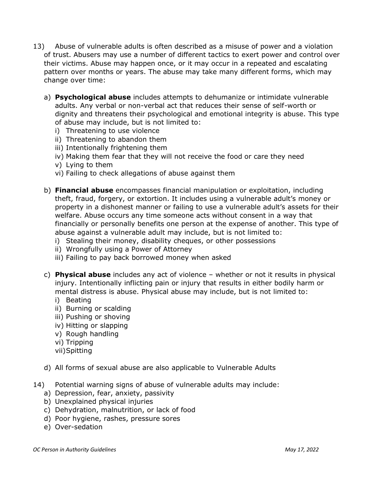- 13) Abuse of vulnerable adults is often described as a misuse of power and a violation of trust. Abusers may use a number of different tactics to exert power and control over their victims. Abuse may happen once, or it may occur in a repeated and escalating pattern over months or years. The abuse may take many different forms, which may change over time:
	- a) **Psychological abuse** includes attempts to dehumanize or intimidate vulnerable adults. Any verbal or non-verbal act that reduces their sense of self-worth or dignity and threatens their psychological and emotional integrity is abuse. This type of abuse may include, but is not limited to:
		- i) Threatening to use violence
		- ii) Threatening to abandon them
		- iii) Intentionally frightening them
		- iv) Making them fear that they will not receive the food or care they need
		- v) Lying to them
		- vi) Failing to check allegations of abuse against them
	- b) **Financial abuse** encompasses financial manipulation or exploitation, including theft, fraud, forgery, or extortion. It includes using a vulnerable adult's money or property in a dishonest manner or failing to use a vulnerable adult's assets for their welfare. Abuse occurs any time someone acts without consent in a way that financially or personally benefits one person at the expense of another. This type of abuse against a vulnerable adult may include, but is not limited to:
		- i) Stealing their money, disability cheques, or other possessions
		- ii) Wrongfully using a Power of Attorney
		- iii) Failing to pay back borrowed money when asked
	- c) **Physical abuse** includes any act of violence whether or not it results in physical injury. Intentionally inflicting pain or injury that results in either bodily harm or mental distress is abuse. Physical abuse may include, but is not limited to:
		- i) Beating
		- ii) Burning or scalding
		- iii) Pushing or shoving
		- iv) Hitting or slapping
		- v) Rough handling
		- vi) Tripping
		- vii)Spitting
	- d) All forms of sexual abuse are also applicable to Vulnerable Adults
- 14) Potential warning signs of abuse of vulnerable adults may include:
	- a) Depression, fear, anxiety, passivity
	- b) Unexplained physical injuries
	- c) Dehydration, malnutrition, or lack of food
	- d) Poor hygiene, rashes, pressure sores
	- e) Over-sedation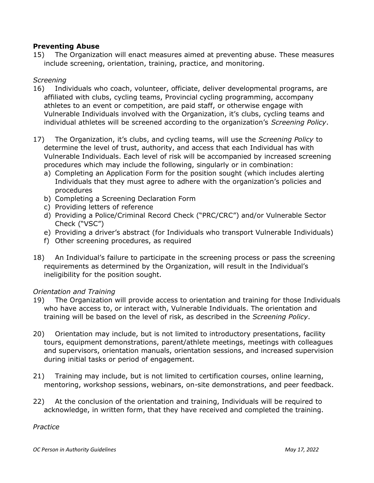## **Preventing Abuse**

15) The Organization will enact measures aimed at preventing abuse. These measures include screening, orientation, training, practice, and monitoring.

### *Screening*

- 16) Individuals who coach, volunteer, officiate, deliver developmental programs, are affiliated with clubs, cycling teams, Provincial cycling programming, accompany athletes to an event or competition, are paid staff, or otherwise engage with Vulnerable Individuals involved with the Organization, it's clubs, cycling teams and individual athletes will be screened according to the organization's *Screening Policy*.
- 17) The Organization, it's clubs, and cycling teams, will use the *Screening Policy* to determine the level of trust, authority, and access that each Individual has with Vulnerable Individuals. Each level of risk will be accompanied by increased screening procedures which may include the following, singularly or in combination:
	- a) Completing an Application Form for the position sought (which includes alerting Individuals that they must agree to adhere with the organization's policies and procedures
	- b) Completing a Screening Declaration Form
	- c) Providing letters of reference
	- d) Providing a Police/Criminal Record Check ("PRC/CRC") and/or Vulnerable Sector Check ("VSC")
	- e) Providing a driver's abstract (for Individuals who transport Vulnerable Individuals)
	- f) Other screening procedures, as required
- 18) An Individual's failure to participate in the screening process or pass the screening requirements as determined by the Organization, will result in the Individual's ineligibility for the position sought.

### *Orientation and Training*

- 19) The Organization will provide access to orientation and training for those Individuals who have access to, or interact with, Vulnerable Individuals. The orientation and training will be based on the level of risk, as described in the *Screening Policy*.
- 20) Orientation may include, but is not limited to introductory presentations, facility tours, equipment demonstrations, parent/athlete meetings, meetings with colleagues and supervisors, orientation manuals, orientation sessions, and increased supervision during initial tasks or period of engagement.
- 21) Training may include, but is not limited to certification courses, online learning, mentoring, workshop sessions, webinars, on-site demonstrations, and peer feedback.
- 22) At the conclusion of the orientation and training, Individuals will be required to acknowledge, in written form, that they have received and completed the training.

*Practice*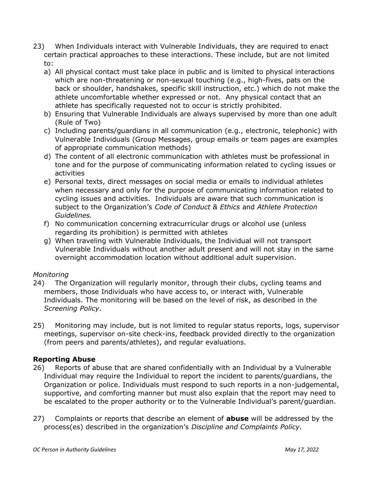- 23) When Individuals interact with Vulnerable Individuals, they are required to enact certain practical approaches to these interactions. These include, but are not limited to:
	- a) All physical contact must take place in public and is limited to physical interactions which are non-threatening or non-sexual touching (e.g., high-fives, pats on the back or shoulder, handshakes, specific skill instruction, etc.) which do not make the athlete uncomfortable whether expressed or not. Any physical contact that an athlete has specifically requested not to occur is strictly prohibited.
	- b) Ensuring that Vulnerable Individuals are always supervised by more than one adult (Rule of Two)
	- c) Including parents/guardians in all communication (e.g., electronic, telephonic) with Vulnerable Individuals (Group Messages, group emails or team pages are examples of appropriate communication methods)
	- d) The content of all electronic communication with athletes must be professional in tone and for the purpose of communicating information related to cycling issues or activities
	- e) Personal texts, direct messages on social media or emails to individual athletes when necessary and only for the purpose of communicating information related to cycling issues and activities. Individuals are aware that such communication is subject to the Organization's *Code of Conduct & Ethics* and *Athlete Protection Guidelines.*
	- f) No communication concerning extracurricular drugs or alcohol use (unless regarding its prohibition) is permitted with athletes
	- g) When traveling with Vulnerable Individuals, the Individual will not transport Vulnerable Individuals without another adult present and will not stay in the same overnight accommodation location without additional adult supervision.

## *Monitoring*

- 24) The Organization will regularly monitor, through their clubs, cycling teams and members, those Individuals who have access to, or interact with, Vulnerable Individuals. The monitoring will be based on the level of risk, as described in the *Screening Policy*.
- 25) Monitoring may include, but is not limited to regular status reports, logs, supervisor meetings, supervisor on-site check-ins, feedback provided directly to the organization (from peers and parents/athletes), and regular evaluations.

## **Reporting Abuse**

- 26) Reports of abuse that are shared confidentially with an Individual by a Vulnerable Individual may require the Individual to report the incident to parents/guardians, the Organization or police. Individuals must respond to such reports in a non-judgemental, supportive, and comforting manner but must also explain that the report may need to be escalated to the proper authority or to the Vulnerable Individual's parent/guardian.
- 27) Complaints or reports that describe an element of **abuse** will be addressed by the process(es) described in the organization's *Discipline and Complaints Policy.*